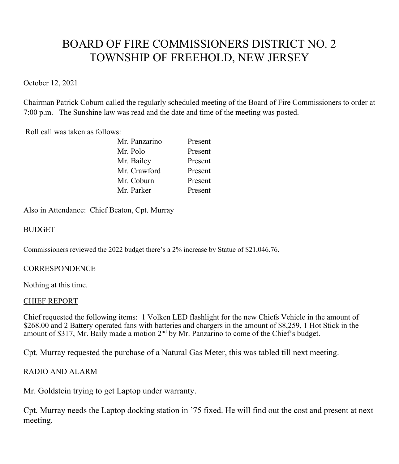# BOARD OF FIRE COMMISSIONERS DISTRICT NO. 2 TOWNSHIP OF FREEHOLD, NEW JERSEY

October 12, 2021

Chairman Patrick Coburn called the regularly scheduled meeting of the Board of Fire Commissioners to order at 7:00 p.m. The Sunshine law was read and the date and time of the meeting was posted.

Roll call was taken as follows:

| Mr. Panzarino | Present |
|---------------|---------|
| Mr. Polo      | Present |
| Mr. Bailey    | Present |
| Mr. Crawford  | Present |
| Mr. Coburn    | Present |
| Mr. Parker    | Present |
|               |         |

Also in Attendance: Chief Beaton, Cpt. Murray

# BUDGET

Commissioners reviewed the 2022 budget there's a 2% increase by Statue of \$21,046.76.

#### **CORRESPONDENCE**

Nothing at this time.

#### CHIEF REPORT

Chief requested the following items: 1 Volken LED flashlight for the new Chiefs Vehicle in the amount of \$268.00 and 2 Battery operated fans with batteries and chargers in the amount of \$8,259, 1 Hot Stick in the amount of \$317, Mr. Baily made a motion 2<sup>nd</sup> by Mr. Panzarino to come of the Chief's budget.

Cpt. Murray requested the purchase of a Natural Gas Meter, this was tabled till next meeting.

# RADIO AND ALARM

Mr. Goldstein trying to get Laptop under warranty.

Cpt. Murray needs the Laptop docking station in '75 fixed. He will find out the cost and present at next meeting.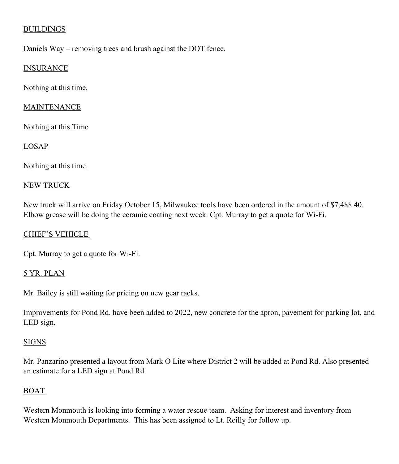# **BUILDINGS**

Daniels Way – removing trees and brush against the DOT fence.

### INSURANCE

Nothing at this time.

## MAINTENANCE

Nothing at this Time

## LOSAP

Nothing at this time.

#### NEW TRUCK

New truck will arrive on Friday October 15, Milwaukee tools have been ordered in the amount of \$7,488.40. Elbow grease will be doing the ceramic coating next week. Cpt. Murray to get a quote for Wi-Fi.

#### CHIEF'S VEHICLE

Cpt. Murray to get a quote for Wi-Fi.

#### 5 YR. PLAN

Mr. Bailey is still waiting for pricing on new gear racks.

Improvements for Pond Rd. have been added to 2022, new concrete for the apron, pavement for parking lot, and LED sign.

#### **SIGNS**

Mr. Panzarino presented a layout from Mark O Lite where District 2 will be added at Pond Rd. Also presented an estimate for a LED sign at Pond Rd.

#### BOAT

Western Monmouth is looking into forming a water rescue team. Asking for interest and inventory from Western Monmouth Departments. This has been assigned to Lt. Reilly for follow up.